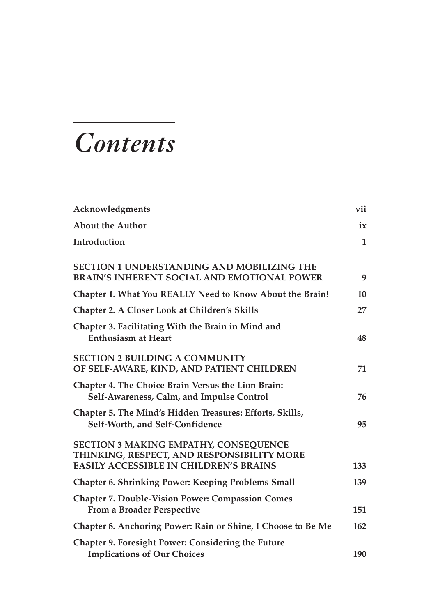# *Contents*

| Acknowledgments                                                                                                                             | vii          |
|---------------------------------------------------------------------------------------------------------------------------------------------|--------------|
| <b>About the Author</b>                                                                                                                     | ix           |
| Introduction                                                                                                                                | $\mathbf{1}$ |
| <b>SECTION 1 UNDERSTANDING AND MOBILIZING THE</b><br><b>BRAIN'S INHERENT SOCIAL AND EMOTIONAL POWER</b>                                     | 9            |
| Chapter 1. What You REALLY Need to Know About the Brain!                                                                                    | 10           |
| Chapter 2. A Closer Look at Children's Skills                                                                                               | 27           |
| Chapter 3. Facilitating With the Brain in Mind and<br><b>Enthusiasm at Heart</b>                                                            | 48           |
| <b>SECTION 2 BUILDING A COMMUNITY</b><br>OF SELF-AWARE, KIND, AND PATIENT CHILDREN                                                          | 71           |
| Chapter 4. The Choice Brain Versus the Lion Brain:<br>Self-Awareness, Calm, and Impulse Control                                             | 76           |
| Chapter 5. The Mind's Hidden Treasures: Efforts, Skills,<br>Self-Worth, and Self-Confidence                                                 | 95           |
| <b>SECTION 3 MAKING EMPATHY, CONSEQUENCE</b><br>THINKING, RESPECT, AND RESPONSIBILITY MORE<br><b>EASILY ACCESSIBLE IN CHILDREN'S BRAINS</b> | 133          |
| <b>Chapter 6. Shrinking Power: Keeping Problems Small</b>                                                                                   | 139          |
| <b>Chapter 7. Double-Vision Power: Compassion Comes</b><br>From a Broader Perspective                                                       | 151          |
| Chapter 8. Anchoring Power: Rain or Shine, I Choose to Be Me                                                                                | 162          |
| Chapter 9. Foresight Power: Considering the Future<br><b>Implications of Our Choices</b>                                                    | 190          |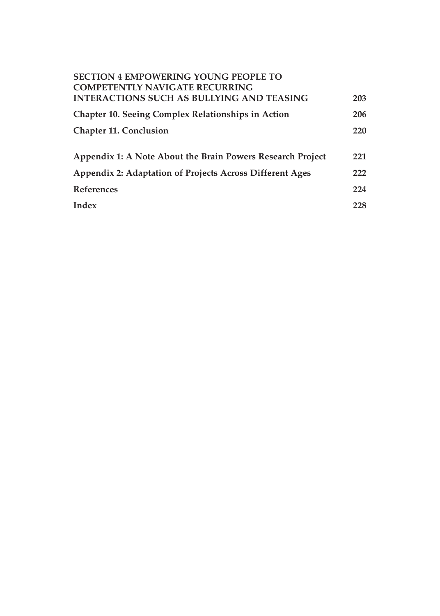| <b>SECTION 4 EMPOWERING YOUNG PEOPLE TO</b><br><b>COMPETENTLY NAVIGATE RECURRING</b> |     |
|--------------------------------------------------------------------------------------|-----|
| <b>INTERACTIONS SUCH AS BULLYING AND TEASING</b>                                     | 203 |
| Chapter 10. Seeing Complex Relationships in Action                                   | 206 |
| <b>Chapter 11. Conclusion</b>                                                        | 220 |
|                                                                                      |     |
| Appendix 1: A Note About the Brain Powers Research Project                           | 221 |
| Appendix 2: Adaptation of Projects Across Different Ages                             | 222 |
| <b>References</b>                                                                    | 224 |
| Index                                                                                | 228 |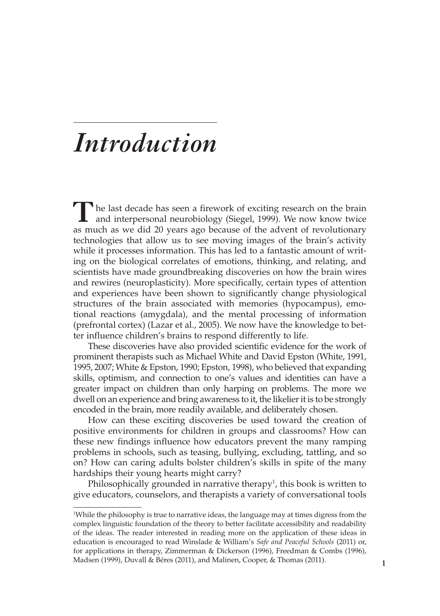## *Introduction*

**T**he last decade has seen a firework of exciting research on the brain and interpersonal neurobiology (Siegel, 1999). We now know twice as much as we did 20 years ago because of the advent of revolutionary technologies that allow us to see moving images of the brain's activity while it processes information. This has led to a fantastic amount of writing on the biological correlates of emotions, thinking, and relating, and scientists have made groundbreaking discoveries on how the brain wires and rewires (neuroplasticity). More specifically, certain types of attention and experiences have been shown to significantly change physiological structures of the brain associated with memories (hypocampus), emotional reactions (amygdala), and the mental processing of information (prefrontal cortex) (Lazar et al., 2005). We now have the knowledge to better influence children's brains to respond differently to life.

These discoveries have also provided scientific evidence for the work of prominent therapists such as Michael White and David Epston (White, 1991, 1995, 2007; White & Epston, 1990; Epston, 1998), who believed that expanding skills, optimism, and connection to one's values and identities can have a greater impact on children than only harping on problems. The more we dwell on an experience and bring awareness to it, the likelier it is to be strongly encoded in the brain, more readily available, and deliberately chosen.

How can these exciting discoveries be used toward the creation of positive environments for children in groups and classrooms? How can these new findings influence how educators prevent the many ramping problems in schools, such as teasing, bullying, excluding, tattling, and so on? How can caring adults bolster children's skills in spite of the many hardships their young hearts might carry?

Philosophically grounded in narrative therapy<sup>1</sup>, this book is written to give educators, counselors, and therapists a variety of conversational tools

<sup>1</sup> While the philosophy is true to narrative ideas, the language may at times digress from the complex linguistic foundation of the theory to better facilitate accessibility and readability of the ideas. The reader interested in reading more on the application of these ideas in education is encouraged to read Winslade & William's *Safe and Peaceful Schools* (2011) or, for applications in therapy, Zimmerman & Dickerson (1996), Freedman & Combs (1996), Madsen (1999), Duvall & Béres (2011), and Malinen, Cooper, & Thomas (2011).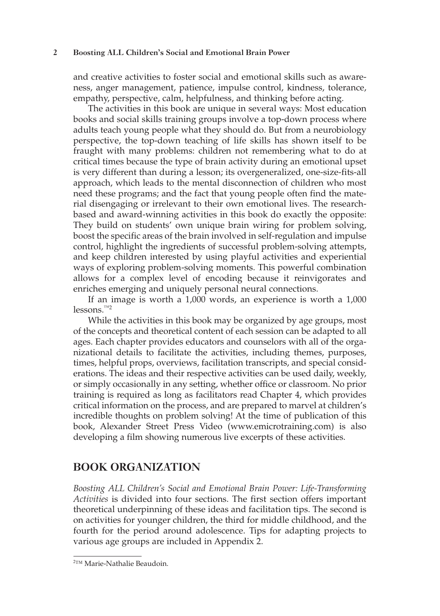#### **2 Boosting ALL Children's Social and Emotional Brain Power**

and creative activities to foster social and emotional skills such as awareness, anger management, patience, impulse control, kindness, tolerance, empathy, perspective, calm, helpfulness, and thinking before acting.

The activities in this book are unique in several ways: Most education books and social skills training groups involve a top-down process where adults teach young people what they should do. But from a neurobiology perspective, the top-down teaching of life skills has shown itself to be fraught with many problems: children not remembering what to do at critical times because the type of brain activity during an emotional upset is very different than during a lesson; its overgeneralized, one-size-fits-all approach, which leads to the mental disconnection of children who most need these programs; and the fact that young people often find the material disengaging or irrelevant to their own emotional lives. The researchbased and award-winning activities in this book do exactly the opposite: They build on students' own unique brain wiring for problem solving, boost the specific areas of the brain involved in self-regulation and impulse control, highlight the ingredients of successful problem-solving attempts, and keep children interested by using playful activities and experiential ways of exploring problem-solving moments. This powerful combination allows for a complex level of encoding because it reinvigorates and enriches emerging and uniquely personal neural connections.

If an image is worth a 1,000 words, an experience is worth a 1,000 lessons.™2

While the activities in this book may be organized by age groups, most of the concepts and theoretical content of each session can be adapted to all ages. Each chapter provides educators and counselors with all of the organizational details to facilitate the activities, including themes, purposes, times, helpful props, overviews, facilitation transcripts, and special considerations. The ideas and their respective activities can be used daily, weekly, or simply occasionally in any setting, whether office or classroom. No prior training is required as long as facilitators read Chapter 4, which provides critical information on the process, and are prepared to marvel at children's incredible thoughts on problem solving! At the time of publication of this book, Alexander Street Press Video (www.emicrotraining.com) is also developing a film showing numerous live excerpts of these activities.

## **BOOK ORGANIZATION**

*Boosting ALL Children's Social and Emotional Brain Power: Life-Transforming Activities* is divided into four sections. The first section offers important theoretical underpinning of these ideas and facilitation tips. The second is on activities for younger children, the third for middle childhood, and the fourth for the period around adolescence. Tips for adapting projects to various age groups are included in Appendix 2.

<sup>2</sup> ™ Marie-Nathalie Beaudoin.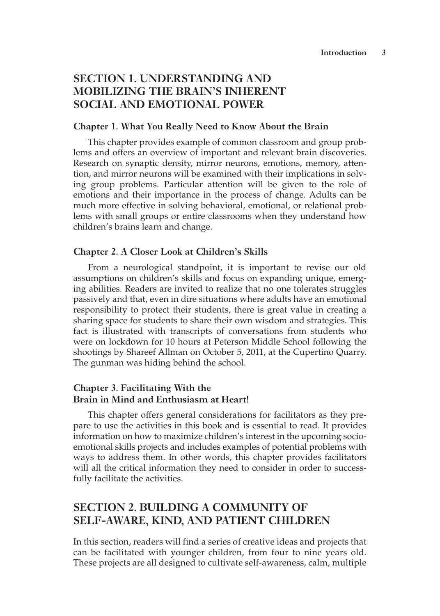## **SECTION 1. UNDERSTANDING AND MOBILIZING THE BRAIN'S INHERENT SOCIAL AND EMOTIONAL POWER**

#### **Chapter 1. What You Really Need to Know About the Brain**

This chapter provides example of common classroom and group problems and offers an overview of important and relevant brain discoveries. Research on synaptic density, mirror neurons, emotions, memory, attention, and mirror neurons will be examined with their implications in solving group problems. Particular attention will be given to the role of emotions and their importance in the process of change. Adults can be much more effective in solving behavioral, emotional, or relational problems with small groups or entire classrooms when they understand how children's brains learn and change.

#### **Chapter 2. A Closer Look at Children's Skills**

From a neurological standpoint, it is important to revise our old assumptions on children's skills and focus on expanding unique, emerging abilities. Readers are invited to realize that no one tolerates struggles passively and that, even in dire situations where adults have an emotional responsibility to protect their students, there is great value in creating a sharing space for students to share their own wisdom and strategies. This fact is illustrated with transcripts of conversations from students who were on lockdown for 10 hours at Peterson Middle School following the shootings by Shareef Allman on October 5, 2011, at the Cupertino Quarry. The gunman was hiding behind the school.

## **Chapter 3. Facilitating With the Brain in Mind and Enthusiasm at Heart!**

This chapter offers general considerations for facilitators as they prepare to use the activities in this book and is essential to read. It provides information on how to maximize children's interest in the upcoming socioemotional skills projects and includes examples of potential problems with ways to address them. In other words, this chapter provides facilitators will all the critical information they need to consider in order to successfully facilitate the activities.

## **SECTION 2. BUILDING A COMMUNITY OF SELF-AWARE, KIND, AND PATIENT CHILDREN**

In this section, readers will find a series of creative ideas and projects that can be facilitated with younger children, from four to nine years old. These projects are all designed to cultivate self-awareness, calm, multiple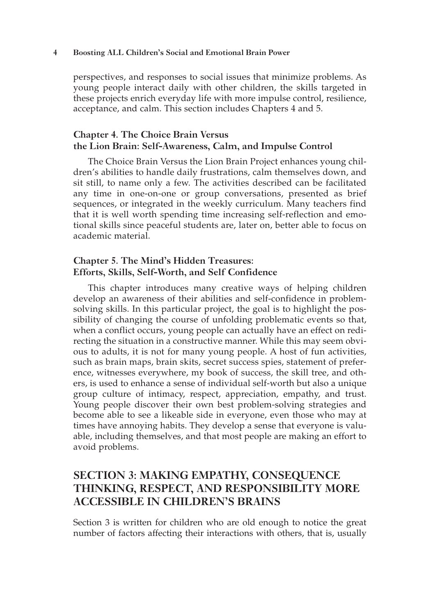#### **4 Boosting ALL Children's Social and Emotional Brain Power**

perspectives, and responses to social issues that minimize problems. As young people interact daily with other children, the skills targeted in these projects enrich everyday life with more impulse control, resilience, acceptance, and calm. This section includes Chapters 4 and 5.

## **Chapter 4. The Choice Brain Versus the Lion Brain: Self-Awareness, Calm, and Impulse Control**

The Choice Brain Versus the Lion Brain Project enhances young children's abilities to handle daily frustrations, calm themselves down, and sit still, to name only a few. The activities described can be facilitated any time in one-on-one or group conversations, presented as brief sequences, or integrated in the weekly curriculum. Many teachers find that it is well worth spending time increasing self-reflection and emotional skills since peaceful students are, later on, better able to focus on academic material.

## **Chapter 5. The Mind's Hidden Treasures: Efforts, Skills, Self-Worth, and Self Confidence**

This chapter introduces many creative ways of helping children develop an awareness of their abilities and self-confidence in problemsolving skills. In this particular project, the goal is to highlight the possibility of changing the course of unfolding problematic events so that, when a conflict occurs, young people can actually have an effect on redirecting the situation in a constructive manner. While this may seem obvious to adults, it is not for many young people. A host of fun activities, such as brain maps, brain skits, secret success spies, statement of preference, witnesses everywhere, my book of success, the skill tree, and others, is used to enhance a sense of individual self-worth but also a unique group culture of intimacy, respect, appreciation, empathy, and trust. Young people discover their own best problem-solving strategies and become able to see a likeable side in everyone, even those who may at times have annoying habits. They develop a sense that everyone is valuable, including themselves, and that most people are making an effort to avoid problems.

## **SECTION 3: MAKING EMPATHY, CONSEQUENCE THINKING, RESPECT, AND RESPONSIBILITY MORE ACCESSIBLE IN CHILDREN'S BRAINS**

Section 3 is written for children who are old enough to notice the great number of factors affecting their interactions with others, that is, usually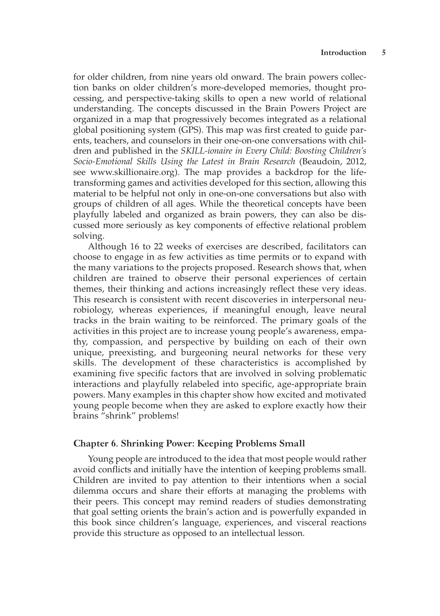for older children, from nine years old onward. The brain powers collection banks on older children's more-developed memories, thought processing, and perspective-taking skills to open a new world of relational understanding. The concepts discussed in the Brain Powers Project are organized in a map that progressively becomes integrated as a relational global positioning system (GPS). This map was first created to guide parents, teachers, and counselors in their one-on-one conversations with children and published in the *SKILL-ionaire in Every Child: Boosting Children's Socio-Emotional Skills Using the Latest in Brain Research* (Beaudoin, 2012, see www.skillionaire.org). The map provides a backdrop for the lifetransforming games and activities developed for this section, allowing this material to be helpful not only in one-on-one conversations but also with groups of children of all ages. While the theoretical concepts have been playfully labeled and organized as brain powers, they can also be discussed more seriously as key components of effective relational problem solving.

Although 16 to 22 weeks of exercises are described, facilitators can choose to engage in as few activities as time permits or to expand with the many variations to the projects proposed. Research shows that, when children are trained to observe their personal experiences of certain themes, their thinking and actions increasingly reflect these very ideas. This research is consistent with recent discoveries in interpersonal neurobiology, whereas experiences, if meaningful enough, leave neural tracks in the brain waiting to be reinforced. The primary goals of the activities in this project are to increase young people's awareness, empathy, compassion, and perspective by building on each of their own unique, preexisting, and burgeoning neural networks for these very skills. The development of these characteristics is accomplished by examining five specific factors that are involved in solving problematic interactions and playfully relabeled into specific, age-appropriate brain powers. Many examples in this chapter show how excited and motivated young people become when they are asked to explore exactly how their brains "shrink" problems!

#### **Chapter 6. Shrinking Power: Keeping Problems Small**

Young people are introduced to the idea that most people would rather avoid conflicts and initially have the intention of keeping problems small. Children are invited to pay attention to their intentions when a social dilemma occurs and share their efforts at managing the problems with their peers. This concept may remind readers of studies demonstrating that goal setting orients the brain's action and is powerfully expanded in this book since children's language, experiences, and visceral reactions provide this structure as opposed to an intellectual lesson.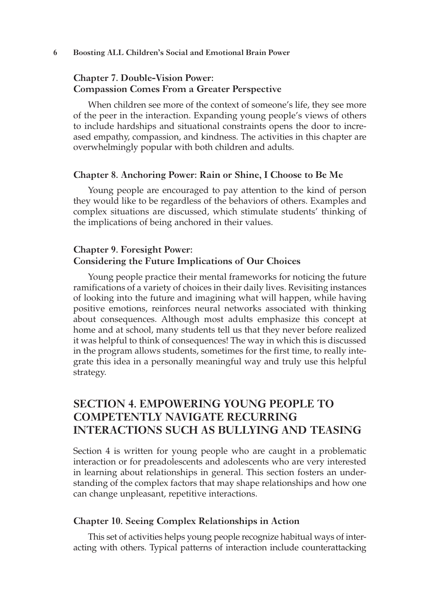## **Chapter 7. Double-Vision Power: Compassion Comes From a Greater Perspective**

When children see more of the context of someone's life, they see more of the peer in the interaction. Expanding young people's views of others to include hardships and situational constraints opens the door to increased empathy, compassion, and kindness. The activities in this chapter are overwhelmingly popular with both children and adults.

#### **Chapter 8. Anchoring Power: Rain or Shine, I Choose to Be Me**

Young people are encouraged to pay attention to the kind of person they would like to be regardless of the behaviors of others. Examples and complex situations are discussed, which stimulate students' thinking of the implications of being anchored in their values.

#### **Chapter 9. Foresight Power: Considering the Future Implications of Our Choices**

Young people practice their mental frameworks for noticing the future ramifications of a variety of choices in their daily lives. Revisiting instances of looking into the future and imagining what will happen, while having positive emotions, reinforces neural networks associated with thinking about consequences. Although most adults emphasize this concept at home and at school, many students tell us that they never before realized it was helpful to think of consequences! The way in which this is discussed in the program allows students, sometimes for the first time, to really integrate this idea in a personally meaningful way and truly use this helpful strategy.

## **SECTION 4. EMPOWERING YOUNG PEOPLE TO COMPETENTLY NAVIGATE RECURRING INTERACTIONS SUCH AS BULLYING AND TEASING**

Section 4 is written for young people who are caught in a problematic interaction or for preadolescents and adolescents who are very interested in learning about relationships in general. This section fosters an understanding of the complex factors that may shape relationships and how one can change unpleasant, repetitive interactions.

#### **Chapter 10. Seeing Complex Relationships in Action**

This set of activities helps young people recognize habitual ways of interacting with others. Typical patterns of interaction include counterattacking